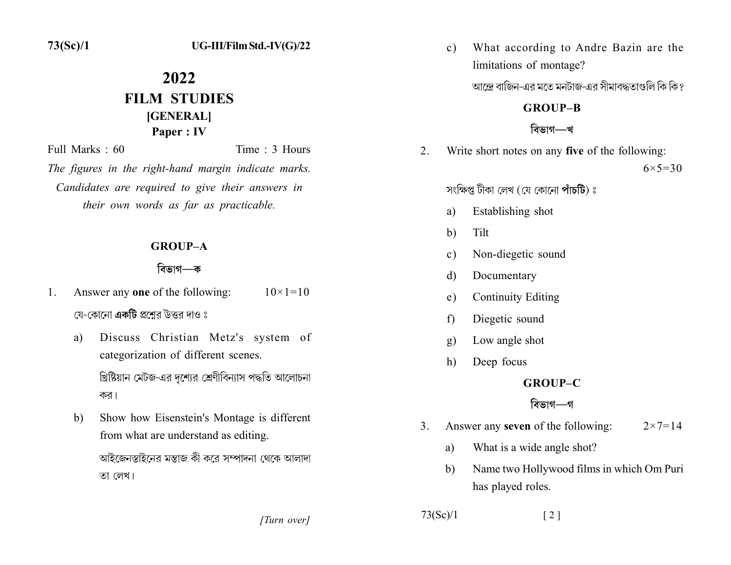$73(Sc)/1$ 

# 2022 **FILM STUDIES** [GENERAL] Paper: IV

Full Marks  $\cdot$  60 Time  $\cdot$  3 Hours The figures in the right-hand margin indicate marks. Candidates are required to give their answers in their own words as far as practicable.

#### **GROUP-A**

#### বিভাগ—ক

- Answer any one of the following:  $10 \times 1 = 10$  $\mathbf{1}$ . যে-কোনো **একটি** প্রশ্নের উত্তর দাও ঃ
	- Discuss Christian Metz's system of a) categorization of different scenes.

খ্রিষ্টিয়ান মেটজ-এর দশ্যের শ্রেণীবিন্যাস পদ্ধতি আলোচনা কর।

Show how Eisenstein's Montage is different b) from what are understand as editing. আইজেনস্তাইনের মন্তাজ কী করে সম্পাদনা থেকে আলাদা তা লেখ।

[Turn over]

What according to Andre Bazin are the  $c)$ limitations of montage?

আন্দ্রে বাজিন-এর মতে মনটাজ-এর সীমাবদ্ধতাগুলি কি কি?

#### **GROUP-B**

## বিভাগ—খ

Write short notes on any five of the following:  $2_{-}$ 

 $6 \times 5 = 30$ 

সংক্ষিপ্ত টীকা লেখ (যে কোনো পাঁচটি) ঃ

- Establishing shot a)
- $b)$ Tilt
- Non-diegetic sound  $\mathbf{c})$
- Documentary d)
- **Continuity Editing**  $e)$
- Diegetic sound f)
- Low angle shot  $g)$
- Deep focus h)

## **GROUP-C**

## বিভাগ—গ

- Answer any **seven** of the following:  $3<sub>1</sub>$  $2 \times 7 = 14$ 
	- What is a wide angle shot? a)
	- Name two Hollywood films in which Om Puri  $b)$ has played roles.

 $73(Sc)/1$  $\lceil 2 \rceil$